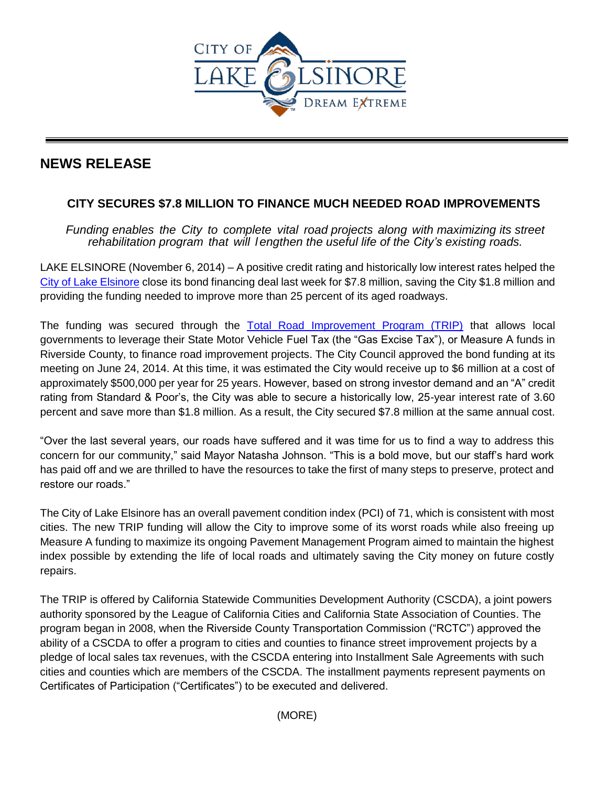

## **NEWS RELEASE**

## **CITY SECURES \$7.8 MILLION TO FINANCE MUCH NEEDED ROAD IMPROVEMENTS**

*Funding enables the City to complete vital road projects along with maximizing its street rehabilitation program that will l engthen the useful life of the City's existing roads.*

LAKE ELSINORE (November 6, 2014) – A positive credit rating and historically low interest rates helped the [City of Lake Elsinore](http://www.lake-elsinore.org/) close its bond financing deal last week for \$7.8 million, saving the City \$1.8 million and providing the funding needed to improve more than 25 percent of its aged roadways.

The funding was secured through the [Total Road Improvement Program \(TRIP\)](http://www.cacommunities.org/public-agency-programs/total-road-improvement-programs-trip/) that allows local governments to leverage their State Motor Vehicle Fuel Tax (the "Gas Excise Tax"), or Measure A funds in Riverside County, to finance road improvement projects. The City Council approved the bond funding at its meeting on June 24, 2014. At this time, it was estimated the City would receive up to \$6 million at a cost of approximately \$500,000 per year for 25 years. However, based on strong investor demand and an "A" credit rating from Standard & Poor's, the City was able to secure a historically low, 25-year interest rate of 3.60 percent and save more than \$1.8 million. As a result, the City secured \$7.8 million at the same annual cost.

"Over the last several years, our roads have suffered and it was time for us to find a way to address this concern for our community," said Mayor Natasha Johnson. "This is a bold move, but our staff's hard work has paid off and we are thrilled to have the resources to take the first of many steps to preserve, protect and restore our roads."

The City of Lake Elsinore has an overall pavement condition index (PCI) of 71, which is consistent with most cities. The new TRIP funding will allow the City to improve some of its worst roads while also freeing up Measure A funding to maximize its ongoing Pavement Management Program aimed to maintain the highest index possible by extending the life of local roads and ultimately saving the City money on future costly repairs.

The TRIP is offered by California Statewide Communities Development Authority (CSCDA), a joint powers authority sponsored by the League of California Cities and California State Association of Counties. The program began in 2008, when the Riverside County Transportation Commission ("RCTC") approved the ability of a CSCDA to offer a program to cities and counties to finance street improvement projects by a pledge of local sales tax revenues, with the CSCDA entering into Installment Sale Agreements with such cities and counties which are members of the CSCDA. The installment payments represent payments on Certificates of Participation ("Certificates") to be executed and delivered.